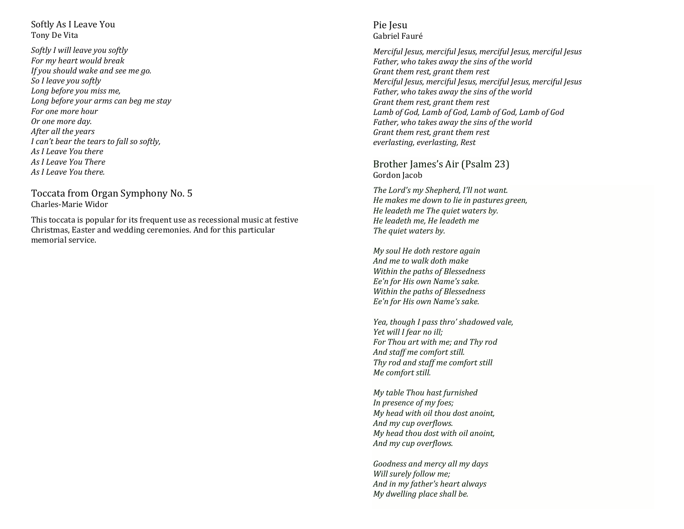## Softly As I Leave You Tony De Vita

*Softly I will leave you softly For my heart would break If you should wake and see me go. So I leave you softly Long before you miss me, Long before your arms can beg me stay For one more hour Or one more day. After all the years I can't bear the tears to fall so softly, As I Leave You there As I Leave You There As I Leave You there.*

Toccata from Organ Symphony No. 5 Charles-Marie Widor

This toccata is popular for its frequent use as recessional music at festive Christmas, Easter and wedding ceremonies. And for this particular memorial service.

# Pie Jesu Gabriel Fauré

*Merciful Jesus, merciful Jesus, merciful Jesus, merciful Jesus Father, who takes away the sins of the world Grant them rest, grant them rest Merciful Jesus, merciful Jesus, merciful Jesus, merciful Jesus Father, who takes away the sins of the world Grant them rest, grant them rest Lamb of God, Lamb of God, Lamb of God, Lamb of God Father, who takes away the sins of the world Grant them rest, grant them rest everlasting, everlasting, Rest*

Brother James's Air (Psalm 23) Gordon Jacob

*The Lord's my Shepherd, I'll not want. He makes me down to lie in pastures green, He leadeth me The quiet waters by. He leadeth me, He leadeth me The quiet waters by.*

*My soul He doth restore again And me to walk doth make Within the paths of Blessedness Ee'n for His own Name's sake. Within the paths of Blessedness Ee'n for His own Name's sake.*

*Yea, though I pass thro' shadowed vale, Yet will I fear no ill; For Thou art with me; and Thy rod And staff me comfort still. Thy rod and staff me comfort still Me comfort still.*

*My table Thou hast furnished In presence of my foes; My head with oil thou dost anoint, And my cup overflows. My head thou dost with oil anoint, And my cup overflows.*

*Goodness and mercy all my days Will surely follow me; And in my father's heart always My dwelling place shall be.*